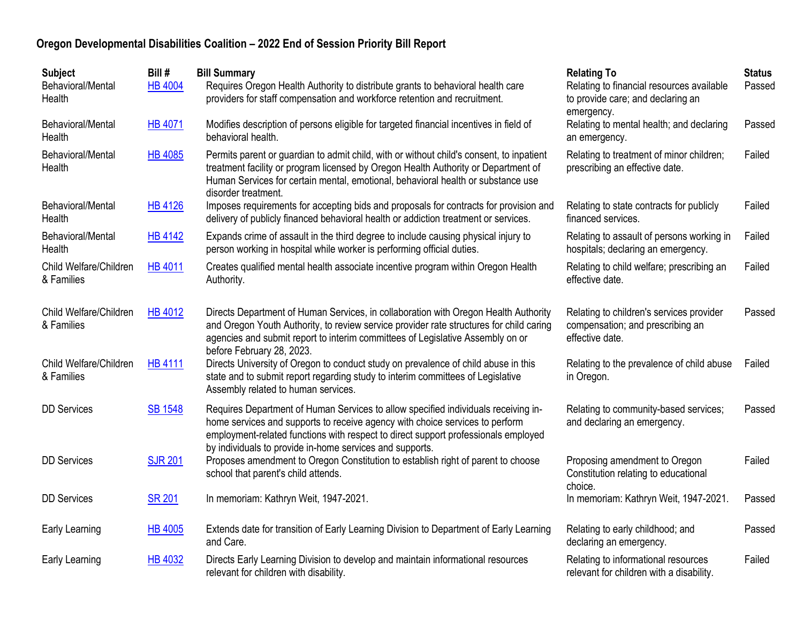| <b>Subject</b><br>Behavioral/Mental<br>Health | Bill #<br><b>HB 4004</b> | <b>Bill Summary</b><br>Requires Oregon Health Authority to distribute grants to behavioral health care<br>providers for staff compensation and workforce retention and recruitment.                                                                                                                                  | <b>Relating To</b><br>Relating to financial resources available<br>to provide care; and declaring an<br>emergency. | <b>Status</b><br>Passed |
|-----------------------------------------------|--------------------------|----------------------------------------------------------------------------------------------------------------------------------------------------------------------------------------------------------------------------------------------------------------------------------------------------------------------|--------------------------------------------------------------------------------------------------------------------|-------------------------|
| Behavioral/Mental<br>Health                   | <b>HB 4071</b>           | Modifies description of persons eligible for targeted financial incentives in field of<br>behavioral health.                                                                                                                                                                                                         | Relating to mental health; and declaring<br>an emergency.                                                          | Passed                  |
| Behavioral/Mental<br>Health                   | <b>HB 4085</b>           | Permits parent or guardian to admit child, with or without child's consent, to inpatient<br>treatment facility or program licensed by Oregon Health Authority or Department of<br>Human Services for certain mental, emotional, behavioral health or substance use<br>disorder treatment.                            | Relating to treatment of minor children;<br>prescribing an effective date.                                         | Failed                  |
| Behavioral/Mental<br>Health                   | <b>HB 4126</b>           | Imposes requirements for accepting bids and proposals for contracts for provision and<br>delivery of publicly financed behavioral health or addiction treatment or services.                                                                                                                                         | Relating to state contracts for publicly<br>financed services.                                                     | Failed                  |
| Behavioral/Mental<br>Health                   | <b>HB 4142</b>           | Expands crime of assault in the third degree to include causing physical injury to<br>person working in hospital while worker is performing official duties.                                                                                                                                                         | Relating to assault of persons working in<br>hospitals; declaring an emergency.                                    | Failed                  |
| Child Welfare/Children<br>& Families          | <b>HB 4011</b>           | Creates qualified mental health associate incentive program within Oregon Health<br>Authority.                                                                                                                                                                                                                       | Relating to child welfare; prescribing an<br>effective date.                                                       | Failed                  |
| Child Welfare/Children<br>& Families          | <b>HB 4012</b>           | Directs Department of Human Services, in collaboration with Oregon Health Authority<br>and Oregon Youth Authority, to review service provider rate structures for child caring<br>agencies and submit report to interim committees of Legislative Assembly on or<br>before February 28, 2023.                        | Relating to children's services provider<br>compensation; and prescribing an<br>effective date.                    | Passed                  |
| Child Welfare/Children<br>& Families          | <b>HB 4111</b>           | Directs University of Oregon to conduct study on prevalence of child abuse in this<br>state and to submit report regarding study to interim committees of Legislative<br>Assembly related to human services.                                                                                                         | Relating to the prevalence of child abuse<br>in Oregon.                                                            | Failed                  |
| <b>DD Services</b>                            | <b>SB 1548</b>           | Requires Department of Human Services to allow specified individuals receiving in-<br>home services and supports to receive agency with choice services to perform<br>employment-related functions with respect to direct support professionals employed<br>by individuals to provide in-home services and supports. | Relating to community-based services;<br>and declaring an emergency.                                               | Passed                  |
| <b>DD Services</b>                            | <b>SJR 201</b>           | Proposes amendment to Oregon Constitution to establish right of parent to choose<br>school that parent's child attends.                                                                                                                                                                                              | Proposing amendment to Oregon<br>Constitution relating to educational<br>choice.                                   | Failed                  |
| <b>DD</b> Services                            | <b>SR 201</b>            | In memoriam: Kathryn Weit, 1947-2021.                                                                                                                                                                                                                                                                                | In memoriam: Kathryn Weit, 1947-2021.                                                                              | Passed                  |
| Early Learning                                | <b>HB 4005</b>           | Extends date for transition of Early Learning Division to Department of Early Learning<br>and Care.                                                                                                                                                                                                                  | Relating to early childhood; and<br>declaring an emergency.                                                        | Passed                  |
| Early Learning                                | <b>HB 4032</b>           | Directs Early Learning Division to develop and maintain informational resources<br>relevant for children with disability.                                                                                                                                                                                            | Relating to informational resources<br>relevant for children with a disability.                                    | Failed                  |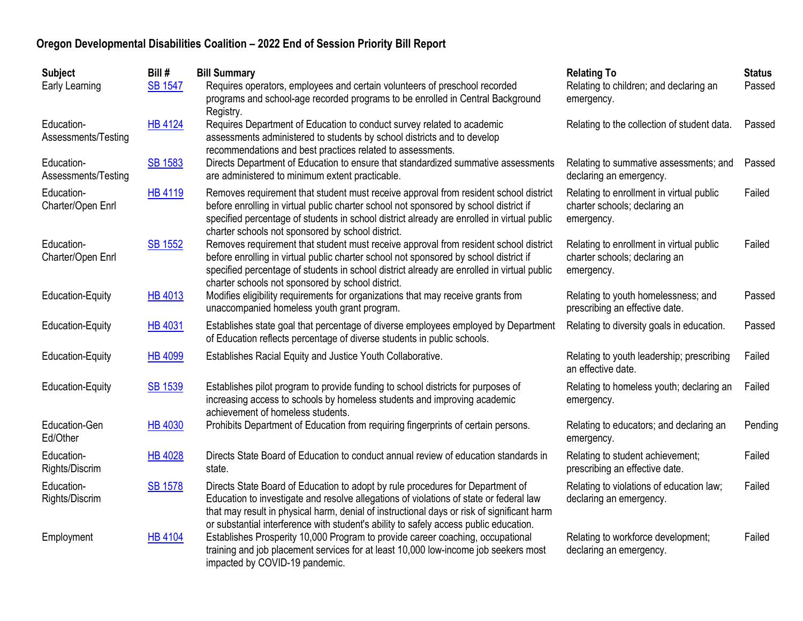| <b>Subject</b>                    | Bill #         | <b>Bill Summary</b>                                                                                                                                                                                                                                                                                                                                             | <b>Relating To</b>                                                                      | <b>Status</b> |
|-----------------------------------|----------------|-----------------------------------------------------------------------------------------------------------------------------------------------------------------------------------------------------------------------------------------------------------------------------------------------------------------------------------------------------------------|-----------------------------------------------------------------------------------------|---------------|
| Early Learning                    | <b>SB 1547</b> | Requires operators, employees and certain volunteers of preschool recorded<br>programs and school-age recorded programs to be enrolled in Central Background<br>Registry.                                                                                                                                                                                       | Relating to children; and declaring an<br>emergency.                                    | Passed        |
| Education-<br>Assessments/Testing | <b>HB 4124</b> | Requires Department of Education to conduct survey related to academic<br>assessments administered to students by school districts and to develop<br>recommendations and best practices related to assessments.                                                                                                                                                 | Relating to the collection of student data.                                             | Passed        |
| Education-<br>Assessments/Testing | <b>SB 1583</b> | Directs Department of Education to ensure that standardized summative assessments<br>are administered to minimum extent practicable.                                                                                                                                                                                                                            | Relating to summative assessments; and<br>declaring an emergency.                       | Passed        |
| Education-<br>Charter/Open Enrl   | HB 4119        | Removes requirement that student must receive approval from resident school district<br>before enrolling in virtual public charter school not sponsored by school district if<br>specified percentage of students in school district already are enrolled in virtual public<br>charter schools not sponsored by school district.                                | Relating to enrollment in virtual public<br>charter schools; declaring an<br>emergency. | Failed        |
| Education-<br>Charter/Open Enrl   | <b>SB 1552</b> | Removes requirement that student must receive approval from resident school district<br>before enrolling in virtual public charter school not sponsored by school district if<br>specified percentage of students in school district already are enrolled in virtual public<br>charter schools not sponsored by school district.                                | Relating to enrollment in virtual public<br>charter schools; declaring an<br>emergency. | Failed        |
| <b>Education-Equity</b>           | <b>HB 4013</b> | Modifies eligibility requirements for organizations that may receive grants from<br>unaccompanied homeless youth grant program.                                                                                                                                                                                                                                 | Relating to youth homelessness; and<br>prescribing an effective date.                   | Passed        |
| <b>Education-Equity</b>           | <b>HB 4031</b> | Establishes state goal that percentage of diverse employees employed by Department<br>of Education reflects percentage of diverse students in public schools.                                                                                                                                                                                                   | Relating to diversity goals in education.                                               | Passed        |
| <b>Education-Equity</b>           | <b>HB 4099</b> | Establishes Racial Equity and Justice Youth Collaborative.                                                                                                                                                                                                                                                                                                      | Relating to youth leadership; prescribing<br>an effective date.                         | Failed        |
| <b>Education-Equity</b>           | <b>SB 1539</b> | Establishes pilot program to provide funding to school districts for purposes of<br>increasing access to schools by homeless students and improving academic<br>achievement of homeless students.                                                                                                                                                               | Relating to homeless youth; declaring an<br>emergency.                                  | Failed        |
| Education-Gen<br>Ed/Other         | <b>HB 4030</b> | Prohibits Department of Education from requiring fingerprints of certain persons.                                                                                                                                                                                                                                                                               | Relating to educators; and declaring an<br>emergency.                                   | Pending       |
| Education-<br>Rights/Discrim      | <b>HB 4028</b> | Directs State Board of Education to conduct annual review of education standards in<br>state.                                                                                                                                                                                                                                                                   | Relating to student achievement;<br>prescribing an effective date.                      | Failed        |
| Education-<br>Rights/Discrim      | <b>SB 1578</b> | Directs State Board of Education to adopt by rule procedures for Department of<br>Education to investigate and resolve allegations of violations of state or federal law<br>that may result in physical harm, denial of instructional days or risk of significant harm<br>or substantial interference with student's ability to safely access public education. | Relating to violations of education law;<br>declaring an emergency.                     | Failed        |
| Employment                        | <b>HB 4104</b> | Establishes Prosperity 10,000 Program to provide career coaching, occupational<br>training and job placement services for at least 10,000 low-income job seekers most<br>impacted by COVID-19 pandemic.                                                                                                                                                         | Relating to workforce development;<br>declaring an emergency.                           | Failed        |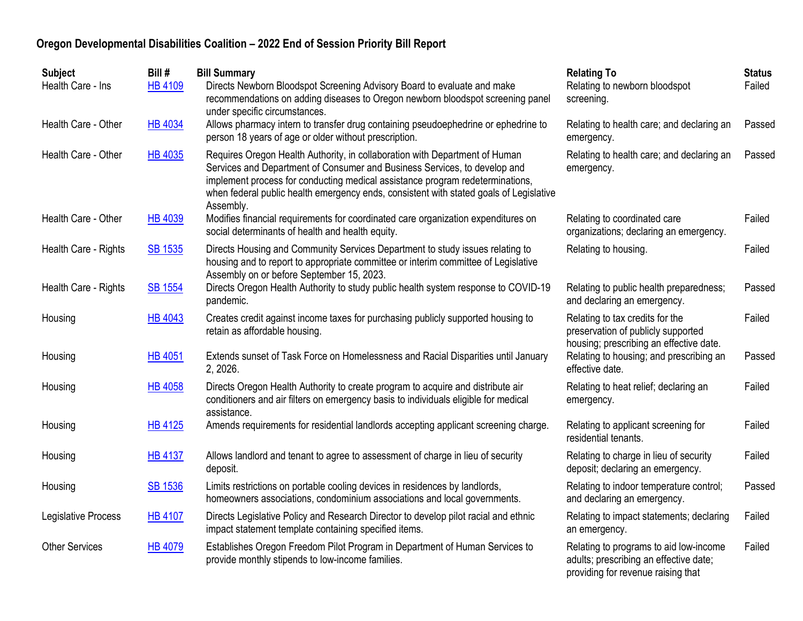| <b>Subject</b><br>Health Care - Ins | Bill #<br><b>HB 4109</b> | <b>Bill Summary</b><br>Directs Newborn Bloodspot Screening Advisory Board to evaluate and make<br>recommendations on adding diseases to Oregon newborn bloodspot screening panel<br>under specific circumstances.                                                                                                                                | <b>Relating To</b><br>Relating to newborn bloodspot<br>screening.                                                      | <b>Status</b><br>Failed |
|-------------------------------------|--------------------------|--------------------------------------------------------------------------------------------------------------------------------------------------------------------------------------------------------------------------------------------------------------------------------------------------------------------------------------------------|------------------------------------------------------------------------------------------------------------------------|-------------------------|
| Health Care - Other                 | <b>HB 4034</b>           | Allows pharmacy intern to transfer drug containing pseudoephedrine or ephedrine to<br>person 18 years of age or older without prescription.                                                                                                                                                                                                      | Relating to health care; and declaring an<br>emergency.                                                                | Passed                  |
| Health Care - Other                 | HB 4035                  | Requires Oregon Health Authority, in collaboration with Department of Human<br>Services and Department of Consumer and Business Services, to develop and<br>implement process for conducting medical assistance program redeterminations,<br>when federal public health emergency ends, consistent with stated goals of Legislative<br>Assembly. | Relating to health care; and declaring an<br>emergency.                                                                | Passed                  |
| Health Care - Other                 | <b>HB 4039</b>           | Modifies financial requirements for coordinated care organization expenditures on<br>social determinants of health and health equity.                                                                                                                                                                                                            | Relating to coordinated care<br>organizations; declaring an emergency.                                                 | Failed                  |
| Health Care - Rights                | <b>SB 1535</b>           | Directs Housing and Community Services Department to study issues relating to<br>housing and to report to appropriate committee or interim committee of Legislative<br>Assembly on or before September 15, 2023.                                                                                                                                 | Relating to housing.                                                                                                   | Failed                  |
| Health Care - Rights                | <b>SB 1554</b>           | Directs Oregon Health Authority to study public health system response to COVID-19<br>pandemic.                                                                                                                                                                                                                                                  | Relating to public health preparedness;<br>and declaring an emergency.                                                 | Passed                  |
| Housing                             | <b>HB 4043</b>           | Creates credit against income taxes for purchasing publicly supported housing to<br>retain as affordable housing.                                                                                                                                                                                                                                | Relating to tax credits for the<br>preservation of publicly supported<br>housing; prescribing an effective date.       | Failed                  |
| Housing                             | <b>HB 4051</b>           | Extends sunset of Task Force on Homelessness and Racial Disparities until January<br>2, 2026.                                                                                                                                                                                                                                                    | Relating to housing; and prescribing an<br>effective date.                                                             | Passed                  |
| Housing                             | <b>HB 4058</b>           | Directs Oregon Health Authority to create program to acquire and distribute air<br>conditioners and air filters on emergency basis to individuals eligible for medical<br>assistance.                                                                                                                                                            | Relating to heat relief; declaring an<br>emergency.                                                                    | Failed                  |
| Housing                             | <b>HB 4125</b>           | Amends requirements for residential landlords accepting applicant screening charge.                                                                                                                                                                                                                                                              | Relating to applicant screening for<br>residential tenants.                                                            | Failed                  |
| Housing                             | <b>HB 4137</b>           | Allows landlord and tenant to agree to assessment of charge in lieu of security<br>deposit.                                                                                                                                                                                                                                                      | Relating to charge in lieu of security<br>deposit; declaring an emergency.                                             | Failed                  |
| Housing                             | <b>SB 1536</b>           | Limits restrictions on portable cooling devices in residences by landlords,<br>homeowners associations, condominium associations and local governments.                                                                                                                                                                                          | Relating to indoor temperature control;<br>and declaring an emergency.                                                 | Passed                  |
| Legislative Process                 | <b>HB 4107</b>           | Directs Legislative Policy and Research Director to develop pilot racial and ethnic<br>impact statement template containing specified items.                                                                                                                                                                                                     | Relating to impact statements; declaring<br>an emergency.                                                              | Failed                  |
| <b>Other Services</b>               | <b>HB 4079</b>           | Establishes Oregon Freedom Pilot Program in Department of Human Services to<br>provide monthly stipends to low-income families.                                                                                                                                                                                                                  | Relating to programs to aid low-income<br>adults; prescribing an effective date;<br>providing for revenue raising that | Failed                  |